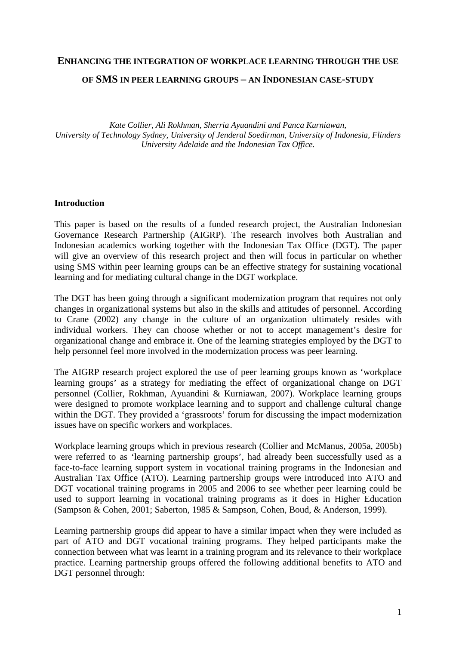#### **ENHANCING THE INTEGRATION OF WORKPLACE LEARNING THROUGH THE USE**

#### **OF SMS IN PEER LEARNING GROUPS – AN INDONESIAN CASE-STUDY**

*Kate Collier, Ali Rokhman, Sherria Ayuandini and Panca Kurniawan, University of Technology Sydney, University of Jenderal Soedirman, University of Indonesia, Flinders University Adelaide and the Indonesian Tax Office.* 

#### **Introduction**

This paper is based on the results of a funded research project, the Australian Indonesian Governance Research Partnership (AIGRP). The research involves both Australian and Indonesian academics working together with the Indonesian Tax Office (DGT). The paper will give an overview of this research project and then will focus in particular on whether using SMS within peer learning groups can be an effective strategy for sustaining vocational learning and for mediating cultural change in the DGT workplace.

The DGT has been going through a significant modernization program that requires not only changes in organizational systems but also in the skills and attitudes of personnel. According to Crane (2002) any change in the culture of an organization ultimately resides with individual workers. They can choose whether or not to accept management's desire for organizational change and embrace it. One of the learning strategies employed by the DGT to help personnel feel more involved in the modernization process was peer learning.

The AIGRP research project explored the use of peer learning groups known as 'workplace learning groups' as a strategy for mediating the effect of organizational change on DGT personnel (Collier, Rokhman, Ayuandini & Kurniawan, 2007). Workplace learning groups were designed to promote workplace learning and to support and challenge cultural change within the DGT. They provided a 'grassroots' forum for discussing the impact modernization issues have on specific workers and workplaces.

Workplace learning groups which in previous research (Collier and McManus, 2005a, 2005b) were referred to as 'learning partnership groups', had already been successfully used as a face-to-face learning support system in vocational training programs in the Indonesian and Australian Tax Office (ATO). Learning partnership groups were introduced into ATO and DGT vocational training programs in 2005 and 2006 to see whether peer learning could be used to support learning in vocational training programs as it does in Higher Education (Sampson & Cohen, 2001; Saberton, 1985 & Sampson, Cohen, Boud, & Anderson, 1999).

Learning partnership groups did appear to have a similar impact when they were included as part of ATO and DGT vocational training programs. They helped participants make the connection between what was learnt in a training program and its relevance to their workplace practice. Learning partnership groups offered the following additional benefits to ATO and DGT personnel through: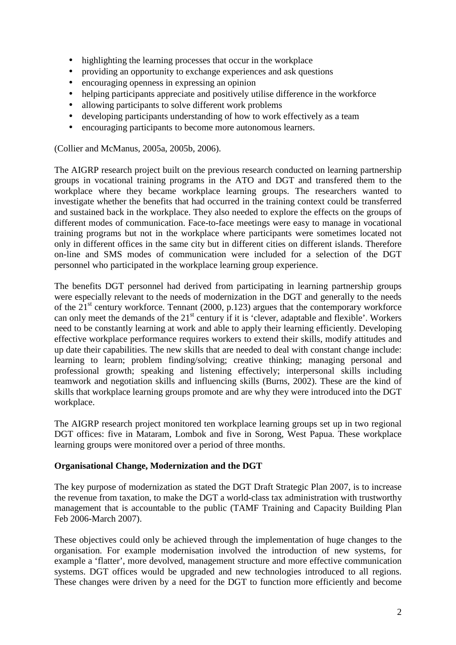- highlighting the learning processes that occur in the workplace
- providing an opportunity to exchange experiences and ask questions
- encouraging openness in expressing an opinion
- helping participants appreciate and positively utilise difference in the workforce
- allowing participants to solve different work problems
- developing participants understanding of how to work effectively as a team
- encouraging participants to become more autonomous learners.

(Collier and McManus, 2005a, 2005b, 2006).

The AIGRP research project built on the previous research conducted on learning partnership groups in vocational training programs in the ATO and DGT and transfered them to the workplace where they became workplace learning groups. The researchers wanted to investigate whether the benefits that had occurred in the training context could be transferred and sustained back in the workplace. They also needed to explore the effects on the groups of different modes of communication. Face-to-face meetings were easy to manage in vocational training programs but not in the workplace where participants were sometimes located not only in different offices in the same city but in different cities on different islands. Therefore on-line and SMS modes of communication were included for a selection of the DGT personnel who participated in the workplace learning group experience.

The benefits DGT personnel had derived from participating in learning partnership groups were especially relevant to the needs of modernization in the DGT and generally to the needs of the  $21<sup>st</sup>$  century workforce. Tennant (2000, p.123) argues that the contemporary workforce can only meet the demands of the 21<sup>st</sup> century if it is 'clever, adaptable and flexible'. Workers need to be constantly learning at work and able to apply their learning efficiently. Developing effective workplace performance requires workers to extend their skills, modify attitudes and up date their capabilities. The new skills that are needed to deal with constant change include: learning to learn; problem finding/solving; creative thinking; managing personal and professional growth; speaking and listening effectively; interpersonal skills including teamwork and negotiation skills and influencing skills (Burns, 2002). These are the kind of skills that workplace learning groups promote and are why they were introduced into the DGT workplace.

The AIGRP research project monitored ten workplace learning groups set up in two regional DGT offices: five in Mataram, Lombok and five in Sorong, West Papua. These workplace learning groups were monitored over a period of three months.

#### **Organisational Change, Modernization and the DGT**

The key purpose of modernization as stated the DGT Draft Strategic Plan 2007, is to increase the revenue from taxation, to make the DGT a world-class tax administration with trustworthy management that is accountable to the public (TAMF Training and Capacity Building Plan Feb 2006-March 2007).

These objectives could only be achieved through the implementation of huge changes to the organisation. For example modernisation involved the introduction of new systems, for example a 'flatter', more devolved, management structure and more effective communication systems. DGT offices would be upgraded and new technologies introduced to all regions. These changes were driven by a need for the DGT to function more efficiently and become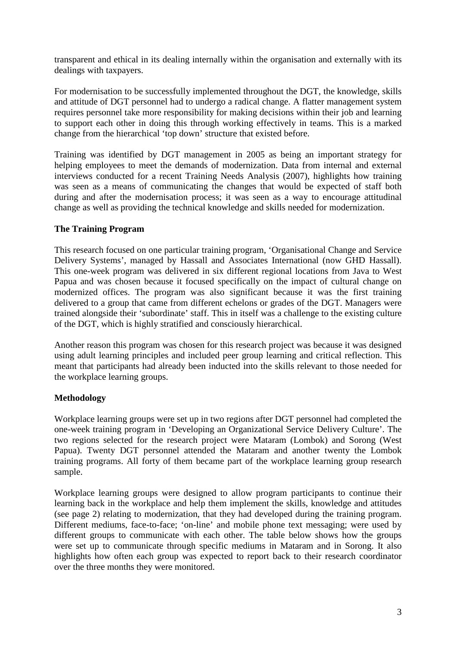transparent and ethical in its dealing internally within the organisation and externally with its dealings with taxpayers.

For modernisation to be successfully implemented throughout the DGT, the knowledge, skills and attitude of DGT personnel had to undergo a radical change. A flatter management system requires personnel take more responsibility for making decisions within their job and learning to support each other in doing this through working effectively in teams. This is a marked change from the hierarchical 'top down' structure that existed before.

Training was identified by DGT management in 2005 as being an important strategy for helping employees to meet the demands of modernization. Data from internal and external interviews conducted for a recent Training Needs Analysis (2007), highlights how training was seen as a means of communicating the changes that would be expected of staff both during and after the modernisation process; it was seen as a way to encourage attitudinal change as well as providing the technical knowledge and skills needed for modernization.

### **The Training Program**

This research focused on one particular training program, 'Organisational Change and Service Delivery Systems', managed by Hassall and Associates International (now GHD Hassall). This one-week program was delivered in six different regional locations from Java to West Papua and was chosen because it focused specifically on the impact of cultural change on modernized offices. The program was also significant because it was the first training delivered to a group that came from different echelons or grades of the DGT. Managers were trained alongside their 'subordinate' staff. This in itself was a challenge to the existing culture of the DGT, which is highly stratified and consciously hierarchical.

Another reason this program was chosen for this research project was because it was designed using adult learning principles and included peer group learning and critical reflection. This meant that participants had already been inducted into the skills relevant to those needed for the workplace learning groups.

## **Methodology**

Workplace learning groups were set up in two regions after DGT personnel had completed the one-week training program in 'Developing an Organizational Service Delivery Culture'. The two regions selected for the research project were Mataram (Lombok) and Sorong (West Papua). Twenty DGT personnel attended the Mataram and another twenty the Lombok training programs. All forty of them became part of the workplace learning group research sample.

Workplace learning groups were designed to allow program participants to continue their learning back in the workplace and help them implement the skills, knowledge and attitudes (see page 2) relating to modernization, that they had developed during the training program. Different mediums, face-to-face; 'on-line' and mobile phone text messaging; were used by different groups to communicate with each other. The table below shows how the groups were set up to communicate through specific mediums in Mataram and in Sorong. It also highlights how often each group was expected to report back to their research coordinator over the three months they were monitored.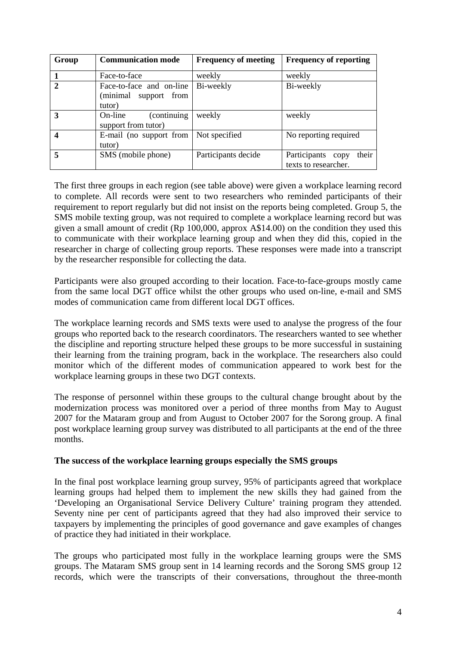| Group            | <b>Communication mode</b>                                      | <b>Frequency of meeting</b> | <b>Frequency of reporting</b>                         |
|------------------|----------------------------------------------------------------|-----------------------------|-------------------------------------------------------|
|                  | Face-to-face                                                   | weekly                      | weekly                                                |
| $\overline{2}$   | Face-to-face and on-line<br>(minimal<br>support from<br>tutor) | Bi-weekly                   | Bi-weekly                                             |
| 3                | On-line<br>(continuing)<br>support from tutor)                 | weekly                      | weekly                                                |
| $\boldsymbol{4}$ | E-mail (no support from<br>tutor)                              | Not specified               | No reporting required                                 |
| 5                | SMS (mobile phone)                                             | Participants decide         | their<br>Participants<br>copy<br>texts to researcher. |

The first three groups in each region (see table above) were given a workplace learning record to complete. All records were sent to two researchers who reminded participants of their requirement to report regularly but did not insist on the reports being completed. Group 5, the SMS mobile texting group, was not required to complete a workplace learning record but was given a small amount of credit (Rp 100,000, approx A\$14.00) on the condition they used this to communicate with their workplace learning group and when they did this, copied in the researcher in charge of collecting group reports. These responses were made into a transcript by the researcher responsible for collecting the data.

Participants were also grouped according to their location. Face-to-face-groups mostly came from the same local DGT office whilst the other groups who used on-line, e-mail and SMS modes of communication came from different local DGT offices.

The workplace learning records and SMS texts were used to analyse the progress of the four groups who reported back to the research coordinators. The researchers wanted to see whether the discipline and reporting structure helped these groups to be more successful in sustaining their learning from the training program, back in the workplace. The researchers also could monitor which of the different modes of communication appeared to work best for the workplace learning groups in these two DGT contexts.

The response of personnel within these groups to the cultural change brought about by the modernization process was monitored over a period of three months from May to August 2007 for the Mataram group and from August to October 2007 for the Sorong group. A final post workplace learning group survey was distributed to all participants at the end of the three months.

#### **The success of the workplace learning groups especially the SMS groups**

In the final post workplace learning group survey, 95% of participants agreed that workplace learning groups had helped them to implement the new skills they had gained from the 'Developing an Organisational Service Delivery Culture' training program they attended. Seventy nine per cent of participants agreed that they had also improved their service to taxpayers by implementing the principles of good governance and gave examples of changes of practice they had initiated in their workplace.

The groups who participated most fully in the workplace learning groups were the SMS groups. The Mataram SMS group sent in 14 learning records and the Sorong SMS group 12 records, which were the transcripts of their conversations, throughout the three-month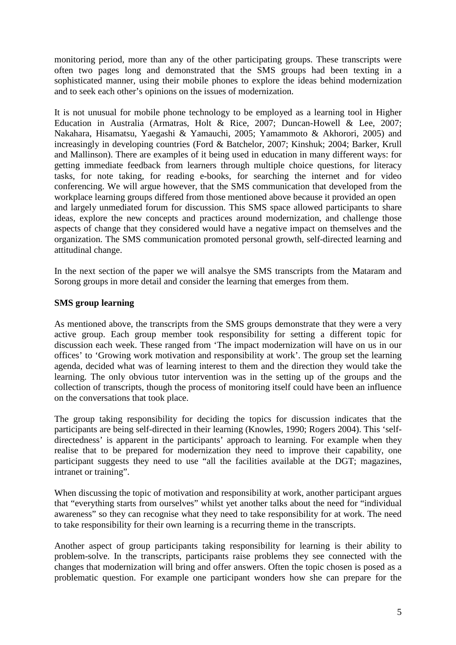monitoring period, more than any of the other participating groups. These transcripts were often two pages long and demonstrated that the SMS groups had been texting in a sophisticated manner, using their mobile phones to explore the ideas behind modernization and to seek each other's opinions on the issues of modernization.

It is not unusual for mobile phone technology to be employed as a learning tool in Higher Education in Australia (Armatras, Holt & Rice, 2007; Duncan-Howell & Lee, 2007; Nakahara, Hisamatsu, Yaegashi & Yamauchi, 2005; Yamammoto & Akhorori, 2005) and increasingly in developing countries (Ford & Batchelor, 2007; Kinshuk; 2004; Barker, Krull and Mallinson). There are examples of it being used in education in many different ways: for getting immediate feedback from learners through multiple choice questions, for literacy tasks, for note taking, for reading e-books, for searching the internet and for video conferencing. We will argue however, that the SMS communication that developed from the workplace learning groups differed from those mentioned above because it provided an open and largely unmediated forum for discussion. This SMS space allowed participants to share ideas, explore the new concepts and practices around modernization, and challenge those aspects of change that they considered would have a negative impact on themselves and the organization. The SMS communication promoted personal growth, self-directed learning and attitudinal change.

In the next section of the paper we will analsye the SMS transcripts from the Mataram and Sorong groups in more detail and consider the learning that emerges from them.

## **SMS group learning**

As mentioned above, the transcripts from the SMS groups demonstrate that they were a very active group. Each group member took responsibility for setting a different topic for discussion each week. These ranged from 'The impact modernization will have on us in our offices' to 'Growing work motivation and responsibility at work'. The group set the learning agenda, decided what was of learning interest to them and the direction they would take the learning. The only obvious tutor intervention was in the setting up of the groups and the collection of transcripts, though the process of monitoring itself could have been an influence on the conversations that took place.

The group taking responsibility for deciding the topics for discussion indicates that the participants are being self-directed in their learning (Knowles, 1990; Rogers 2004). This 'selfdirectedness' is apparent in the participants' approach to learning. For example when they realise that to be prepared for modernization they need to improve their capability, one participant suggests they need to use "all the facilities available at the DGT; magazines, intranet or training".

When discussing the topic of motivation and responsibility at work, another participant argues that "everything starts from ourselves" whilst yet another talks about the need for "individual awareness" so they can recognise what they need to take responsibility for at work. The need to take responsibility for their own learning is a recurring theme in the transcripts.

Another aspect of group participants taking responsibility for learning is their ability to problem-solve. In the transcripts, participants raise problems they see connected with the changes that modernization will bring and offer answers. Often the topic chosen is posed as a problematic question. For example one participant wonders how she can prepare for the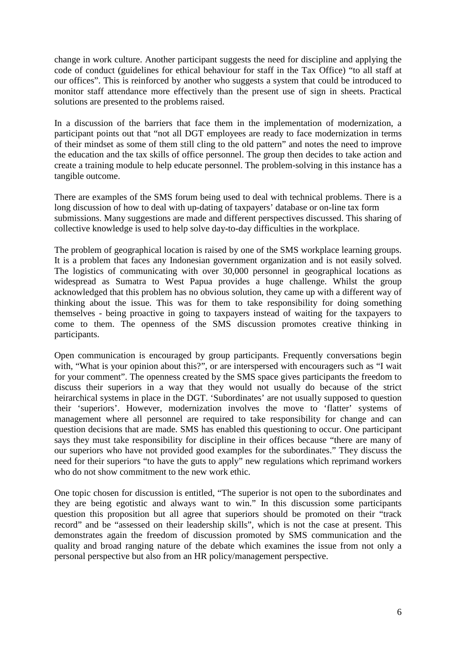change in work culture. Another participant suggests the need for discipline and applying the code of conduct (guidelines for ethical behaviour for staff in the Tax Office) "to all staff at our offices". This is reinforced by another who suggests a system that could be introduced to monitor staff attendance more effectively than the present use of sign in sheets. Practical solutions are presented to the problems raised.

In a discussion of the barriers that face them in the implementation of modernization, a participant points out that "not all DGT employees are ready to face modernization in terms of their mindset as some of them still cling to the old pattern" and notes the need to improve the education and the tax skills of office personnel. The group then decides to take action and create a training module to help educate personnel. The problem-solving in this instance has a tangible outcome.

There are examples of the SMS forum being used to deal with technical problems. There is a long discussion of how to deal with up-dating of taxpayers' database or on-line tax form submissions. Many suggestions are made and different perspectives discussed. This sharing of collective knowledge is used to help solve day-to-day difficulties in the workplace.

The problem of geographical location is raised by one of the SMS workplace learning groups. It is a problem that faces any Indonesian government organization and is not easily solved. The logistics of communicating with over 30,000 personnel in geographical locations as widespread as Sumatra to West Papua provides a huge challenge. Whilst the group acknowledged that this problem has no obvious solution, they came up with a different way of thinking about the issue. This was for them to take responsibility for doing something themselves - being proactive in going to taxpayers instead of waiting for the taxpayers to come to them. The openness of the SMS discussion promotes creative thinking in participants.

Open communication is encouraged by group participants. Frequently conversations begin with, "What is your opinion about this?", or are interspersed with encouragers such as "I wait for your comment". The openness created by the SMS space gives participants the freedom to discuss their superiors in a way that they would not usually do because of the strict heirarchical systems in place in the DGT. 'Subordinates' are not usually supposed to question their 'superiors'. However, modernization involves the move to 'flatter' systems of management where all personnel are required to take responsibility for change and can question decisions that are made. SMS has enabled this questioning to occur. One participant says they must take responsibility for discipline in their offices because "there are many of our superiors who have not provided good examples for the subordinates." They discuss the need for their superiors "to have the guts to apply" new regulations which reprimand workers who do not show commitment to the new work ethic.

One topic chosen for discussion is entitled, "The superior is not open to the subordinates and they are being egotistic and always want to win." In this discussion some participants question this proposition but all agree that superiors should be promoted on their "track record" and be "assessed on their leadership skills", which is not the case at present. This demonstrates again the freedom of discussion promoted by SMS communication and the quality and broad ranging nature of the debate which examines the issue from not only a personal perspective but also from an HR policy/management perspective.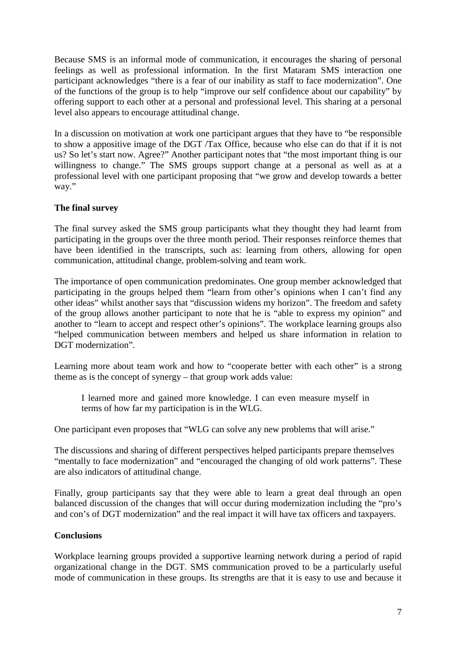Because SMS is an informal mode of communication, it encourages the sharing of personal feelings as well as professional information. In the first Mataram SMS interaction one participant acknowledges "there is a fear of our inability as staff to face modernization". One of the functions of the group is to help "improve our self confidence about our capability" by offering support to each other at a personal and professional level. This sharing at a personal level also appears to encourage attitudinal change.

In a discussion on motivation at work one participant argues that they have to "be responsible to show a appositive image of the DGT /Tax Office, because who else can do that if it is not us? So let's start now. Agree?" Another participant notes that "the most important thing is our willingness to change." The SMS groups support change at a personal as well as at a professional level with one participant proposing that "we grow and develop towards a better way."

# **The final survey**

The final survey asked the SMS group participants what they thought they had learnt from participating in the groups over the three month period. Their responses reinforce themes that have been identified in the transcripts, such as: learning from others, allowing for open communication, attitudinal change, problem-solving and team work.

The importance of open communication predominates. One group member acknowledged that participating in the groups helped them "learn from other's opinions when I can't find any other ideas" whilst another says that "discussion widens my horizon". The freedom and safety of the group allows another participant to note that he is "able to express my opinion" and another to "learn to accept and respect other's opinions". The workplace learning groups also "helped communication between members and helped us share information in relation to DGT modernization".

Learning more about team work and how to "cooperate better with each other" is a strong theme as is the concept of synergy – that group work adds value:

I learned more and gained more knowledge. I can even measure myself in terms of how far my participation is in the WLG.

One participant even proposes that "WLG can solve any new problems that will arise."

The discussions and sharing of different perspectives helped participants prepare themselves "mentally to face modernization" and "encouraged the changing of old work patterns". These are also indicators of attitudinal change.

Finally, group participants say that they were able to learn a great deal through an open balanced discussion of the changes that will occur during modernization including the "pro's and con's of DGT modernization" and the real impact it will have tax officers and taxpayers.

## **Conclusions**

Workplace learning groups provided a supportive learning network during a period of rapid organizational change in the DGT. SMS communication proved to be a particularly useful mode of communication in these groups. Its strengths are that it is easy to use and because it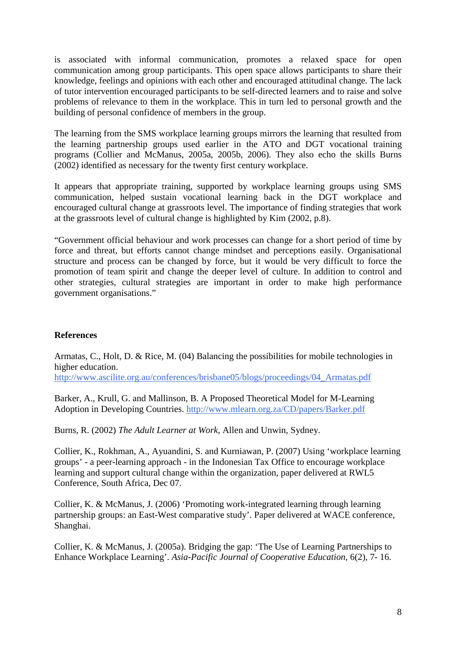is associated with informal communication, promotes a relaxed space for open communication among group participants. This open space allows participants to share their knowledge, feelings and opinions with each other and encouraged attitudinal change. The lack of tutor intervention encouraged participants to be self-directed learners and to raise and solve problems of relevance to them in the workplace. This in turn led to personal growth and the building of personal confidence of members in the group.

The learning from the SMS workplace learning groups mirrors the learning that resulted from the learning partnership groups used earlier in the ATO and DGT vocational training programs (Collier and McManus, 2005a, 2005b, 2006). They also echo the skills Burns (2002) identified as necessary for the twenty first century workplace.

It appears that appropriate training, supported by workplace learning groups using SMS communication, helped sustain vocational learning back in the DGT workplace and encouraged cultural change at grassroots level. The importance of finding strategies that work at the grassroots level of cultural change is highlighted by Kim (2002, p.8).

"Government official behaviour and work processes can change for a short period of time by force and threat, but efforts cannot change mindset and perceptions easily. Organisational structure and process can be changed by force, but it would be very difficult to force the promotion of team spirit and change the deeper level of culture. In addition to control and other strategies, cultural strategies are important in order to make high performance government organisations."

## **References**

Armatas, C., Holt, D. & Rice, M. (04) Balancing the possibilities for mobile technologies in higher education.

http://www.ascilite.org.au/conferences/brisbane05/blogs/proceedings/04\_Armatas.pdf

Barker, A., Krull, G. and Mallinson, B. A Proposed Theoretical Model for M-Learning Adoption in Developing Countries. http://www.mlearn.org.za/CD/papers/Barker.pdf

Burns, R. (2002) *The Adult Learner at Work,* Allen and Unwin, Sydney.

Collier, K., Rokhman, A., Ayuandini, S. and Kurniawan, P. (2007) Using 'workplace learning groups' - a peer-learning approach - in the Indonesian Tax Office to encourage workplace learning and support cultural change within the organization, paper delivered at RWL5 Conference, South Africa, Dec 07.

Collier, K. & McManus, J. (2006) 'Promoting work-integrated learning through learning partnership groups: an East-West comparative study'. Paper delivered at WACE conference, Shanghai.

Collier, K. & McManus, J. (2005a). Bridging the gap: 'The Use of Learning Partnerships to Enhance Workplace Learning'. *Asia-Pacific Journal of Cooperative Education*, 6(2), 7- 16.